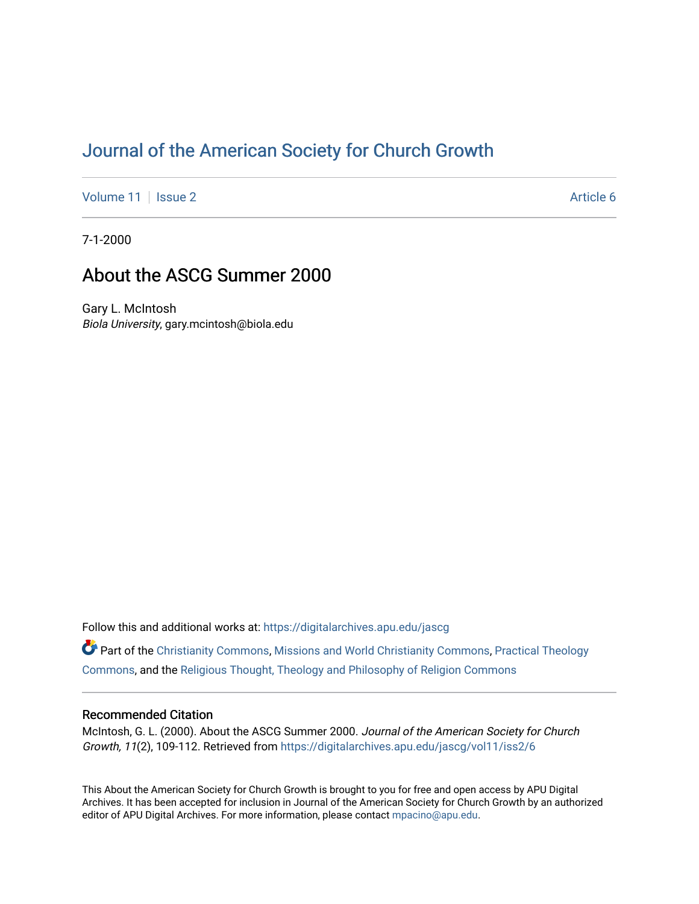# [Journal of the American Society for Church Growth](https://digitalarchives.apu.edu/jascg)

[Volume 11](https://digitalarchives.apu.edu/jascg/vol11) | [Issue 2](https://digitalarchives.apu.edu/jascg/vol11/iss2) Article 6

7-1-2000

## About the ASCG Summer 2000

Gary L. McIntosh Biola University, gary.mcintosh@biola.edu

Follow this and additional works at: [https://digitalarchives.apu.edu/jascg](https://digitalarchives.apu.edu/jascg?utm_source=digitalarchives.apu.edu%2Fjascg%2Fvol11%2Fiss2%2F6&utm_medium=PDF&utm_campaign=PDFCoverPages) 

Part of the [Christianity Commons,](http://network.bepress.com/hgg/discipline/1181?utm_source=digitalarchives.apu.edu%2Fjascg%2Fvol11%2Fiss2%2F6&utm_medium=PDF&utm_campaign=PDFCoverPages) [Missions and World Christianity Commons](http://network.bepress.com/hgg/discipline/1187?utm_source=digitalarchives.apu.edu%2Fjascg%2Fvol11%2Fiss2%2F6&utm_medium=PDF&utm_campaign=PDFCoverPages), [Practical Theology](http://network.bepress.com/hgg/discipline/1186?utm_source=digitalarchives.apu.edu%2Fjascg%2Fvol11%2Fiss2%2F6&utm_medium=PDF&utm_campaign=PDFCoverPages)  [Commons](http://network.bepress.com/hgg/discipline/1186?utm_source=digitalarchives.apu.edu%2Fjascg%2Fvol11%2Fiss2%2F6&utm_medium=PDF&utm_campaign=PDFCoverPages), and the [Religious Thought, Theology and Philosophy of Religion Commons](http://network.bepress.com/hgg/discipline/544?utm_source=digitalarchives.apu.edu%2Fjascg%2Fvol11%2Fiss2%2F6&utm_medium=PDF&utm_campaign=PDFCoverPages) 

### Recommended Citation

McIntosh, G. L. (2000). About the ASCG Summer 2000. Journal of the American Society for Church Growth, 11(2), 109-112. Retrieved from [https://digitalarchives.apu.edu/jascg/vol11/iss2/6](https://digitalarchives.apu.edu/jascg/vol11/iss2/6?utm_source=digitalarchives.apu.edu%2Fjascg%2Fvol11%2Fiss2%2F6&utm_medium=PDF&utm_campaign=PDFCoverPages)

This About the American Society for Church Growth is brought to you for free and open access by APU Digital Archives. It has been accepted for inclusion in Journal of the American Society for Church Growth by an authorized editor of APU Digital Archives. For more information, please contact [mpacino@apu.edu.](mailto:mpacino@apu.edu)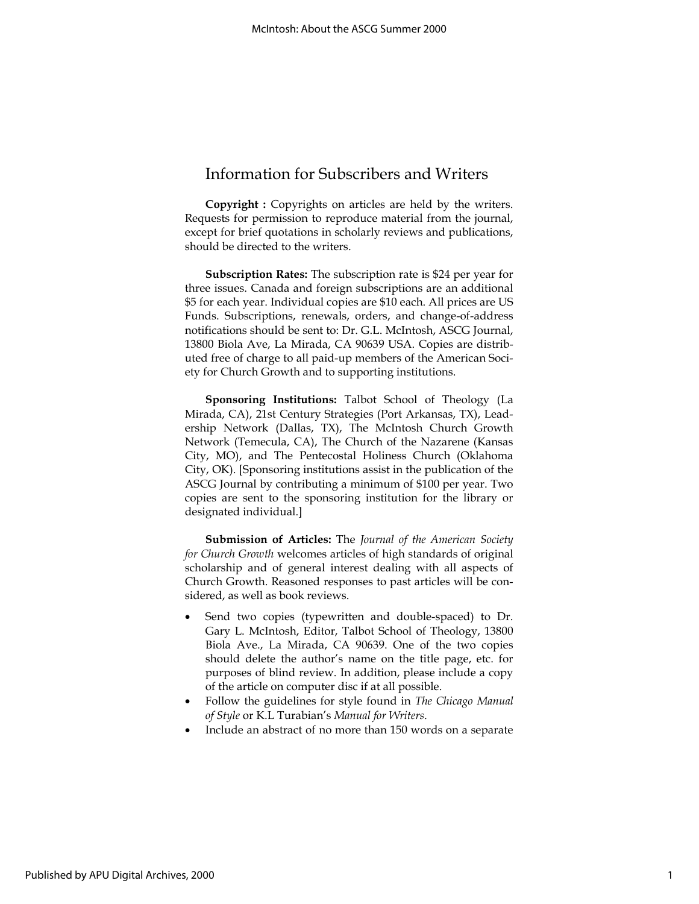### Information for Subscribers and Writers

Copyright : Copyrights on articles are held by the writers. Requests for permission to reproduce material from the journal, except for brief quotations in scholarly reviews and publications, should be directed to the writers.

Subscription Rates: The subscription rate is \$24 per year for three issues. Canada and foreign subscriptions are an additional \$5 for each year. Individual copies are \$10 each. All prices are US Funds. Subscriptions, renewals, orders, and change-of-address notifications should be sent to: Dr. G.L. McIntosh, ASCG Journal, 13800 Biola Ave, La Mirada, CA 90639 USA. Copies are distributed free of charge to all paid-up members of the American Society for Church Growth and to supporting institutions.

Sponsoring Institutions: Talbot School of Theology (La Mirada, CA), 21st Century Strategies (Port Arkansas, TX), Leadership Network (Dallas, TX), The McIntosh Church Growth Network (Temecula, CA), The Church of the Nazarene (Kansas City, MO), and The Pentecostal Holiness Church (Oklahoma City, OK). [Sponsoring institutions assist in the publication of the ASCG Journal by contributing a minimum of \$100 per year. Two copies are sent to the sponsoring institution for the library or designated individual.]

Submission of Articles: The Journal of the American Society for Church Growth welcomes articles of high standards of original scholarship and of general interest dealing with all aspects of Church Growth. Reasoned responses to past articles will be considered, as well as book reviews.

- Send two copies (typewritten and double-spaced) to Dr. Gary L. McIntosh, Editor, Talbot School of Theology, 13800 Biola Ave., La Mirada, CA 90639. One of the two copies should delete the author's name on the title page, etc. for purposes of blind review. In addition, please include a copy of the article on computer disc if at all possible.
- Follow the guidelines for style found in The Chicago Manual of Style or K.L Turabian's Manual for Writers.
- Include an abstract of no more than 150 words on a separate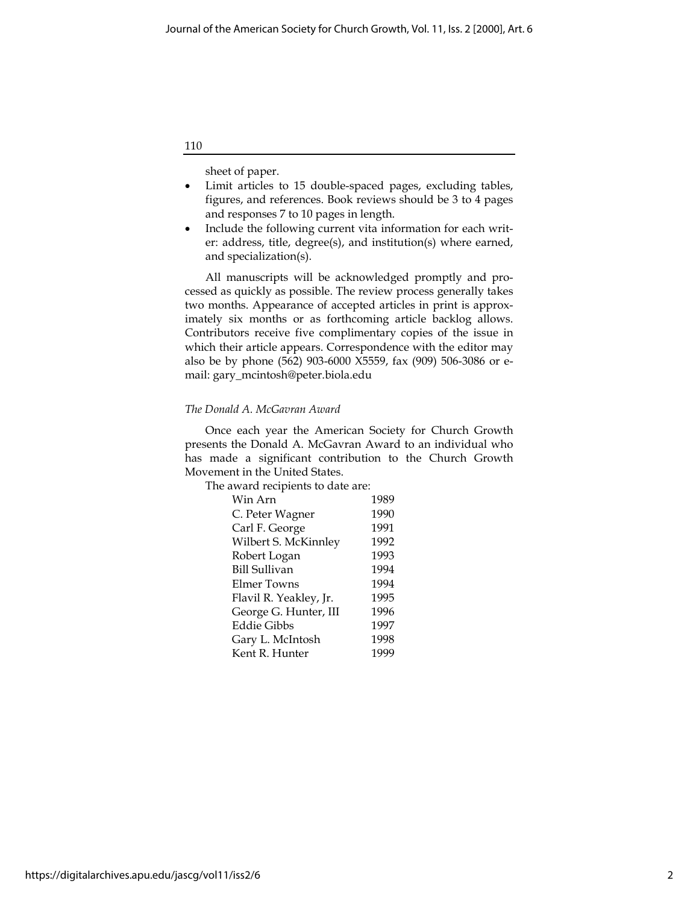110

sheet of paper.

- Limit articles to 15 double-spaced pages, excluding tables, figures, and references. Book reviews should be 3 to 4 pages and responses 7 to 10 pages in length.
- Include the following current vita information for each writer: address, title, degree(s), and institution(s) where earned, and specialization(s).

All manuscripts will be acknowledged promptly and processed as quickly as possible. The review process generally takes two months. Appearance of accepted articles in print is approximately six months or as forthcoming article backlog allows. Contributors receive five complimentary copies of the issue in which their article appears. Correspondence with the editor may also be by phone (562) 903-6000 X5559, fax (909) 506-3086 or email: gary\_mcintosh@peter.biola.edu

### The Donald A. McGavran Award

Once each year the American Society for Church Growth presents the Donald A. McGavran Award to an individual who has made a significant contribution to the Church Growth Movement in the United States.

The award recipients to date are:

| Win Arn                | 1989 |
|------------------------|------|
| C. Peter Wagner        | 1990 |
| Carl F. George         | 1991 |
| Wilbert S. McKinnley   | 1992 |
| Robert Logan           | 1993 |
| <b>Bill Sullivan</b>   | 1994 |
| Elmer Towns            | 1994 |
| Flavil R. Yeakley, Jr. | 1995 |
| George G. Hunter, III  | 1996 |
| Eddie Gibbs            | 1997 |
| Gary L. McIntosh       | 1998 |
| Kent R. Hunter         | 1999 |
|                        |      |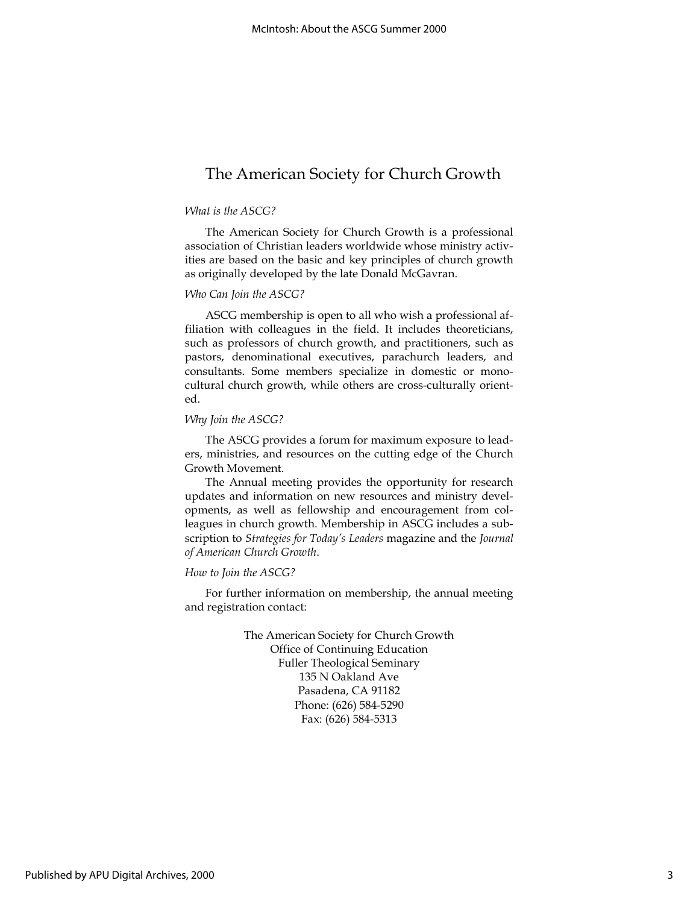## The American Society for Church Growth

#### What is the ASCG?

The American Society for Church Growth is a professional association of Christian leaders worldwide whose ministry activities are based on the basic and key principles of church growth as originally developed by the late Donald McGavran.

### Who Can Join the ASCG?

ASCG membership is open to all who wish a professional affiliation with colleagues in the field. It includes theoreticians, such as professors of church growth, and practitioners, such as pastors, denominational executives, parachurch leaders, and consultants. Some members specialize in domestic or monocultural church growth, while others are cross-culturally oriented.

#### Why Join the ASCG?

The ASCG provides a forum for maximum exposure to leaders, ministries, and resources on the cutting edge of the Church Growth Movement.

The Annual meeting provides the opportunity for research updates and information on new resources and ministry developments, as well as fellowship and encouragement from colleagues in church growth. Membership in ASCG includes a subscription to Strategies for Today's Leaders magazine and the Journal of American Church Growth.

### How to Join the ASCG?

For further information on membership, the annual meeting and registration contact:

> The American Society for Church Growth Office of Continuing Education Fuller Theological Seminary 135 N Oakland Ave Pasadena, CA 91182 Phone: (626) 584-5290 Fax: (626) 584-5313